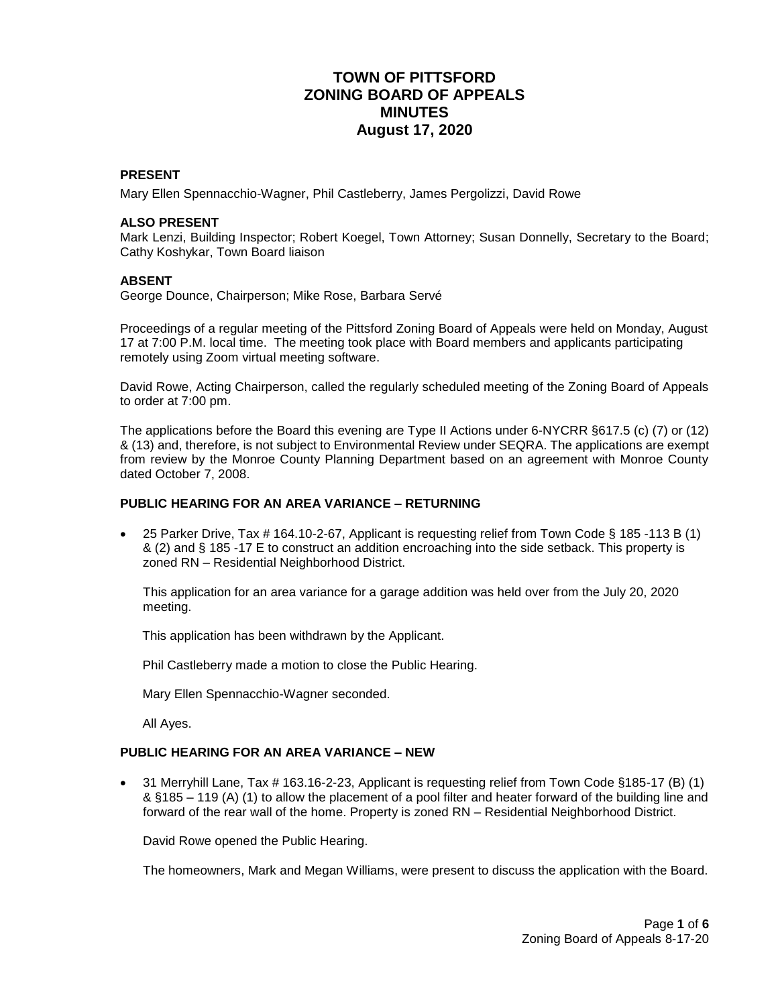# **TOWN OF PITTSFORD ZONING BOARD OF APPEALS MINUTES August 17, 2020**

### **PRESENT**

Mary Ellen Spennacchio-Wagner, Phil Castleberry, James Pergolizzi, David Rowe

### **ALSO PRESENT**

Mark Lenzi, Building Inspector; Robert Koegel, Town Attorney; Susan Donnelly, Secretary to the Board; Cathy Koshykar, Town Board liaison

#### **ABSENT**

George Dounce, Chairperson; Mike Rose, Barbara Servé

Proceedings of a regular meeting of the Pittsford Zoning Board of Appeals were held on Monday, August 17 at 7:00 P.M. local time. The meeting took place with Board members and applicants participating remotely using Zoom virtual meeting software.

David Rowe, Acting Chairperson, called the regularly scheduled meeting of the Zoning Board of Appeals to order at 7:00 pm.

The applications before the Board this evening are Type II Actions under 6-NYCRR §617.5 (c) (7) or (12) & (13) and, therefore, is not subject to Environmental Review under SEQRA. The applications are exempt from review by the Monroe County Planning Department based on an agreement with Monroe County dated October 7, 2008.

#### **PUBLIC HEARING FOR AN AREA VARIANCE – RETURNING**

 25 Parker Drive, Tax # 164.10-2-67, Applicant is requesting relief from Town Code § 185 -113 B (1) & (2) and § 185 -17 E to construct an addition encroaching into the side setback. This property is zoned RN – Residential Neighborhood District.

This application for an area variance for a garage addition was held over from the July 20, 2020 meeting.

This application has been withdrawn by the Applicant.

Phil Castleberry made a motion to close the Public Hearing.

Mary Ellen Spennacchio-Wagner seconded.

All Ayes.

#### **PUBLIC HEARING FOR AN AREA VARIANCE – NEW**

 31 Merryhill Lane, Tax # 163.16-2-23, Applicant is requesting relief from Town Code §185-17 (B) (1) & §185 – 119 (A) (1) to allow the placement of a pool filter and heater forward of the building line and forward of the rear wall of the home. Property is zoned RN – Residential Neighborhood District.

David Rowe opened the Public Hearing.

The homeowners, Mark and Megan Williams, were present to discuss the application with the Board.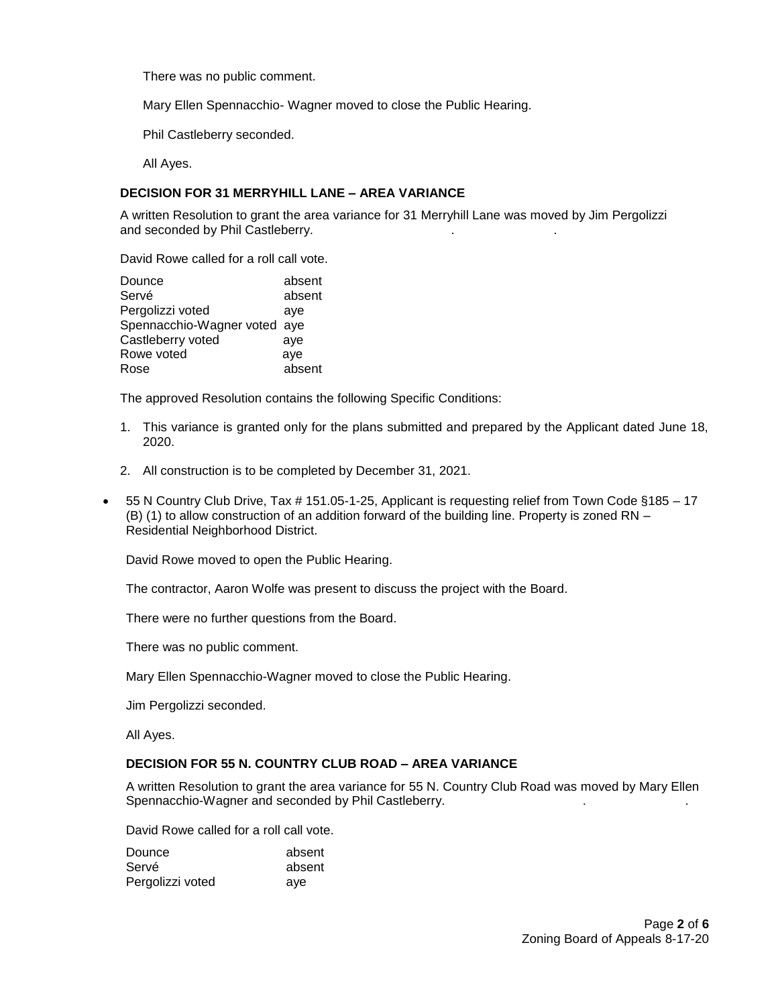There was no public comment.

Mary Ellen Spennacchio- Wagner moved to close the Public Hearing.

Phil Castleberry seconded.

All Ayes.

## **DECISION FOR 31 MERRYHILL LANE – AREA VARIANCE**

A written Resolution to grant the area variance for 31 Merryhill Lane was moved by Jim Pergolizzi and seconded by Phil Castleberry.

David Rowe called for a roll call vote.

| Dounce                       | absent |
|------------------------------|--------|
| Servé                        | absent |
| Pergolizzi voted             | ave    |
| Spennacchio-Wagner voted aye |        |
| Castleberry voted            | aye    |
| Rowe voted                   | aye    |
| Rose                         | absent |

The approved Resolution contains the following Specific Conditions:

- 1. This variance is granted only for the plans submitted and prepared by the Applicant dated June 18, 2020.
- 2. All construction is to be completed by December 31, 2021.
- 55 N Country Club Drive, Tax # 151.05-1-25, Applicant is requesting relief from Town Code §185 17 (B) (1) to allow construction of an addition forward of the building line. Property is zoned RN – Residential Neighborhood District.

David Rowe moved to open the Public Hearing.

The contractor, Aaron Wolfe was present to discuss the project with the Board.

There were no further questions from the Board.

There was no public comment.

Mary Ellen Spennacchio-Wagner moved to close the Public Hearing.

Jim Pergolizzi seconded.

All Ayes.

# **DECISION FOR 55 N. COUNTRY CLUB ROAD – AREA VARIANCE**

A written Resolution to grant the area variance for 55 N. Country Club Road was moved by Mary Ellen Spennacchio-Wagner and seconded by Phil Castleberry.

David Rowe called for a roll call vote.

| Dounce           | absent |
|------------------|--------|
| Servé            | absent |
| Pergolizzi voted | ave    |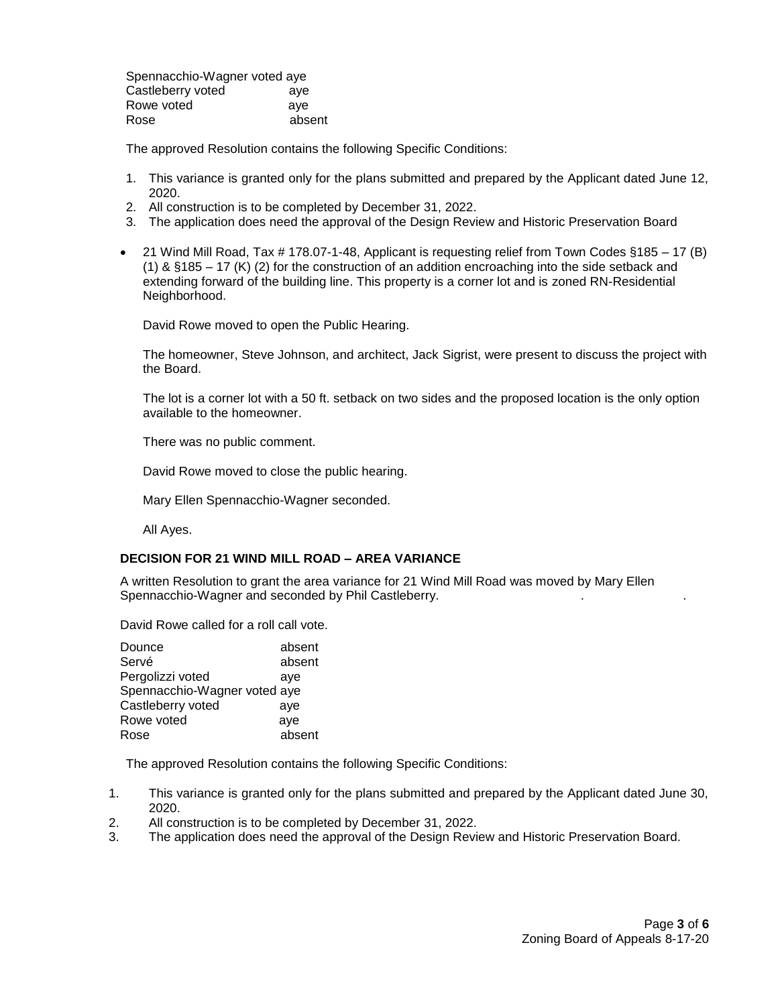Spennacchio-Wagner voted aye Castleberry voted aye Rowe voted aye Rose absent

The approved Resolution contains the following Specific Conditions:

- 1. This variance is granted only for the plans submitted and prepared by the Applicant dated June 12, 2020.
- 2. All construction is to be completed by December 31, 2022.
- 3. The application does need the approval of the Design Review and Historic Preservation Board
- 21 Wind Mill Road, Tax # 178.07-1-48, Applicant is requesting relief from Town Codes §185 17 (B) (1) & §185 – 17 (K) (2) for the construction of an addition encroaching into the side setback and extending forward of the building line. This property is a corner lot and is zoned RN-Residential Neighborhood.

David Rowe moved to open the Public Hearing.

The homeowner, Steve Johnson, and architect, Jack Sigrist, were present to discuss the project with the Board.

The lot is a corner lot with a 50 ft. setback on two sides and the proposed location is the only option available to the homeowner.

There was no public comment.

David Rowe moved to close the public hearing.

Mary Ellen Spennacchio-Wagner seconded.

All Ayes.

#### **DECISION FOR 21 WIND MILL ROAD – AREA VARIANCE**

A written Resolution to grant the area variance for 21 Wind Mill Road was moved by Mary Ellen Spennacchio-Wagner and seconded by Phil Castleberry.

David Rowe called for a roll call vote.

| Dounce                       | absent |
|------------------------------|--------|
| Servé                        | absent |
| Pergolizzi voted             | ave    |
| Spennacchio-Wagner voted aye |        |
| Castleberry voted            | aye    |
| Rowe voted                   | aye    |
| Rose                         | absent |

The approved Resolution contains the following Specific Conditions:

- 1. This variance is granted only for the plans submitted and prepared by the Applicant dated June 30, 2020.
- 2. All construction is to be completed by December 31, 2022.
- 3. The application does need the approval of the Design Review and Historic Preservation Board.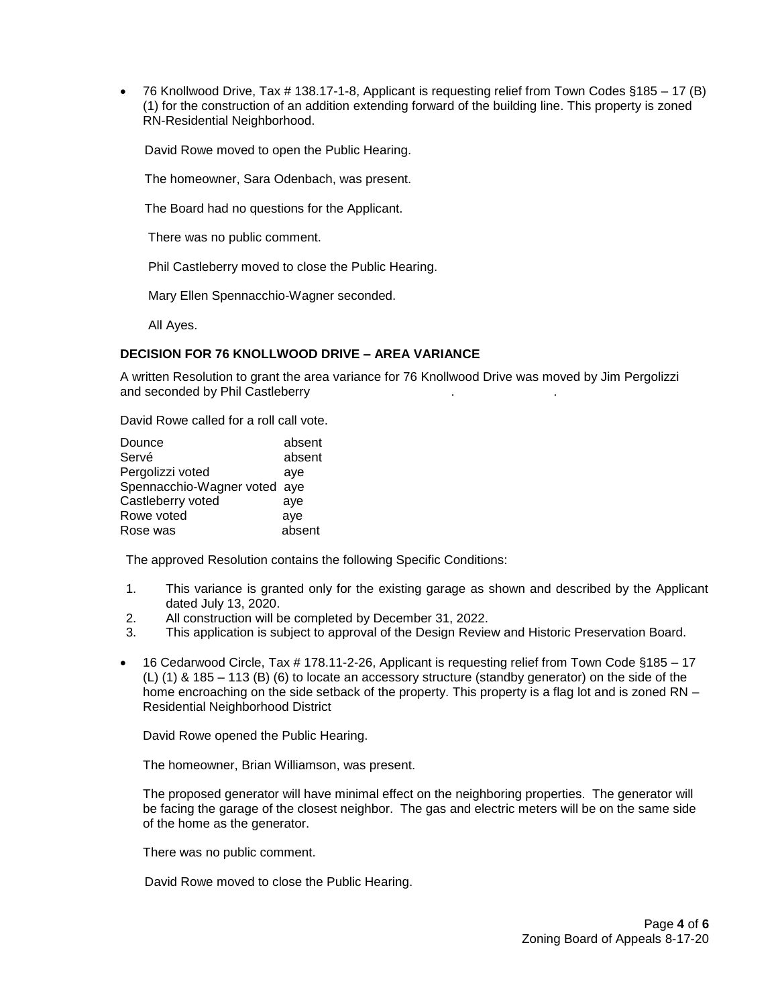76 Knollwood Drive, Tax # 138.17-1-8, Applicant is requesting relief from Town Codes §185 – 17 (B) (1) for the construction of an addition extending forward of the building line. This property is zoned RN-Residential Neighborhood.

David Rowe moved to open the Public Hearing.

The homeowner, Sara Odenbach, was present.

The Board had no questions for the Applicant.

There was no public comment.

Phil Castleberry moved to close the Public Hearing.

Mary Ellen Spennacchio-Wagner seconded.

All Ayes.

# **DECISION FOR 76 KNOLLWOOD DRIVE – AREA VARIANCE**

A written Resolution to grant the area variance for 76 Knollwood Drive was moved by Jim Pergolizzi and seconded by Phil Castleberry

David Rowe called for a roll call vote.

| Dounce                       | absent |
|------------------------------|--------|
| Servé                        | absent |
| Pergolizzi voted             | aye    |
| Spennacchio-Wagner voted aye |        |
| Castleberry voted            | aye    |
| Rowe voted                   | aye    |
| Rose was                     | absent |

The approved Resolution contains the following Specific Conditions:

- 1. This variance is granted only for the existing garage as shown and described by the Applicant dated July 13, 2020.
- 2. All construction will be completed by December 31, 2022.
- 3. This application is subject to approval of the Design Review and Historic Preservation Board.
- 16 Cedarwood Circle, Tax # 178.11-2-26, Applicant is requesting relief from Town Code §185 17 (L) (1) & 185 – 113 (B) (6) to locate an accessory structure (standby generator) on the side of the home encroaching on the side setback of the property. This property is a flag lot and is zoned RN – Residential Neighborhood District

David Rowe opened the Public Hearing.

The homeowner, Brian Williamson, was present.

The proposed generator will have minimal effect on the neighboring properties. The generator will be facing the garage of the closest neighbor. The gas and electric meters will be on the same side of the home as the generator.

There was no public comment.

David Rowe moved to close the Public Hearing.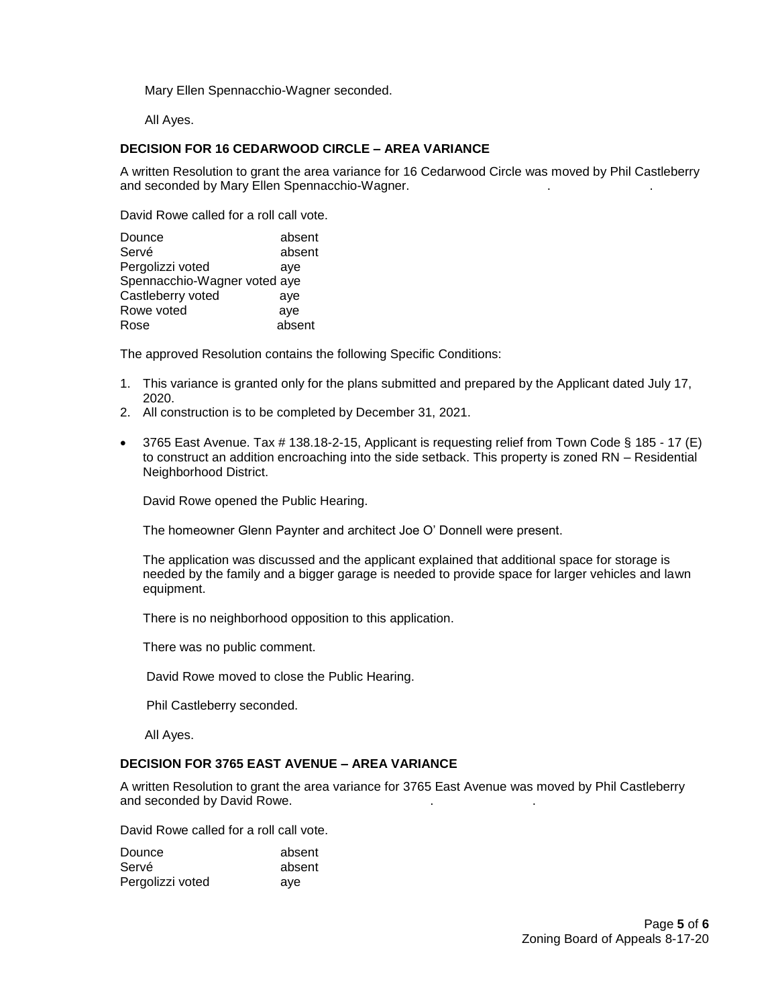Mary Ellen Spennacchio-Wagner seconded.

All Ayes.

# **DECISION FOR 16 CEDARWOOD CIRCLE – AREA VARIANCE**

A written Resolution to grant the area variance for 16 Cedarwood Circle was moved by Phil Castleberry and seconded by Mary Ellen Spennacchio-Wagner.

David Rowe called for a roll call vote.

| Dounce                       | absent |
|------------------------------|--------|
| Servé                        | absent |
| Pergolizzi voted             | aye    |
| Spennacchio-Wagner voted aye |        |
| Castleberry voted            | aye    |
| Rowe voted                   | aye    |
| Rose                         | absent |

The approved Resolution contains the following Specific Conditions:

- 1. This variance is granted only for the plans submitted and prepared by the Applicant dated July 17, 2020.
- 2. All construction is to be completed by December 31, 2021.
- 3765 East Avenue. Tax # 138.18-2-15, Applicant is requesting relief from Town Code § 185 17 (E) to construct an addition encroaching into the side setback. This property is zoned RN – Residential Neighborhood District.

David Rowe opened the Public Hearing.

The homeowner Glenn Paynter and architect Joe O' Donnell were present.

The application was discussed and the applicant explained that additional space for storage is needed by the family and a bigger garage is needed to provide space for larger vehicles and lawn equipment.

There is no neighborhood opposition to this application.

There was no public comment.

David Rowe moved to close the Public Hearing.

Phil Castleberry seconded.

All Ayes.

#### **DECISION FOR 3765 EAST AVENUE – AREA VARIANCE**

A written Resolution to grant the area variance for 3765 East Avenue was moved by Phil Castleberry and seconded by David Rowe.

David Rowe called for a roll call vote.

| Dounce           | absent |
|------------------|--------|
| Servé            | absent |
| Pergolizzi voted | ave    |